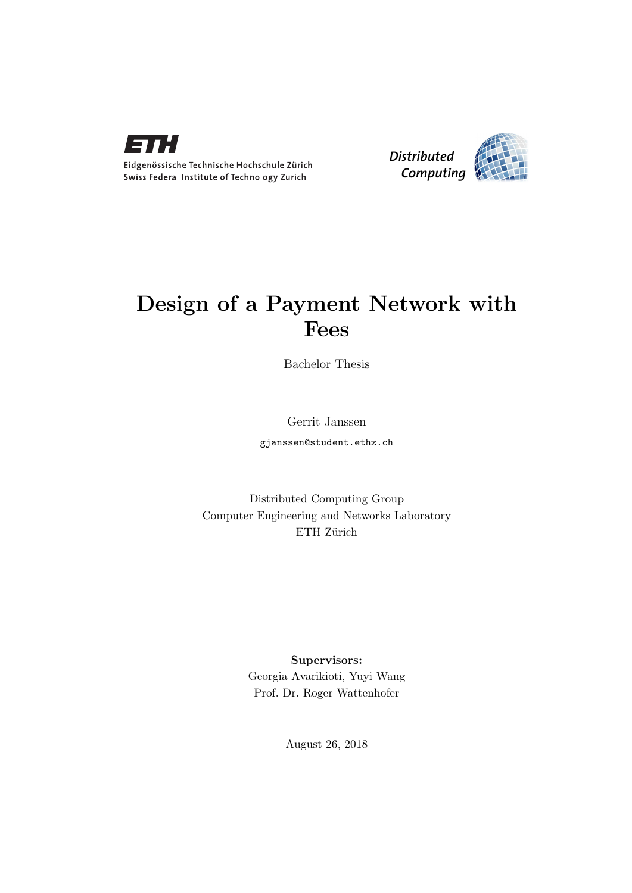



## Design of a Payment Network with Fees

Bachelor Thesis

Gerrit Janssen

gjanssen@student.ethz.ch

Distributed Computing Group Computer Engineering and Networks Laboratory ETH Zürich

> Supervisors: Georgia Avarikioti, Yuyi Wang Prof. Dr. Roger Wattenhofer

> > August 26, 2018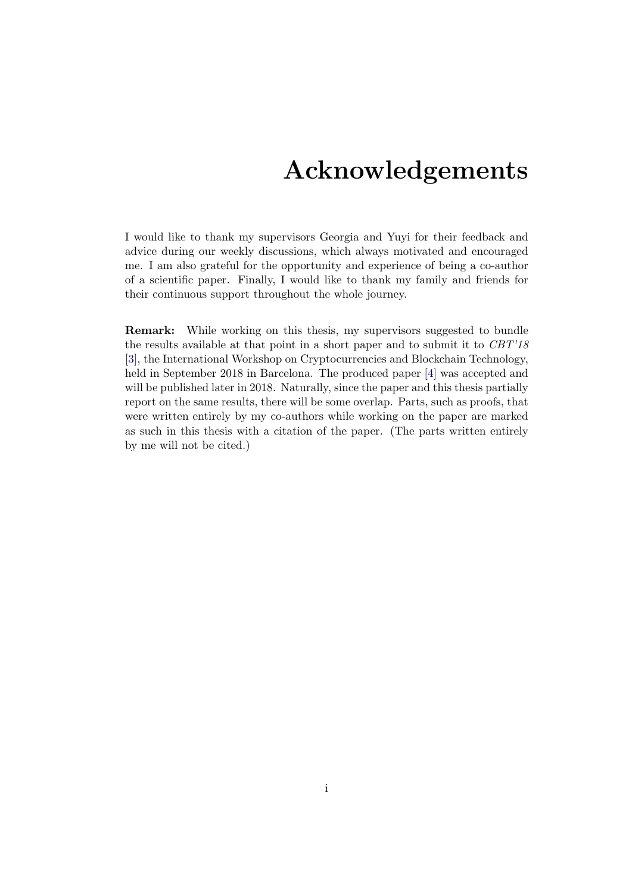## Acknowledgements

I would like to thank my supervisors Georgia and Yuyi for their feedback and advice during our weekly discussions, which always motivated and encouraged me. I am also grateful for the opportunity and experience of being a co-author of a scientific paper. Finally, I would like to thank my family and friends for their continuous support throughout the whole journey.

<span id="page-1-0"></span>Remark: While working on this thesis, my supervisors suggested to bundle the results available at that point in a short paper and to submit it to  $CBT'18$ [\[3\]](#page-23-0), the International Workshop on Cryptocurrencies and Blockchain Technology, held in September 2018 in Barcelona. The produced paper [\[4\]](#page-23-1) was accepted and will be published later in 2018. Naturally, since the paper and this thesis partially report on the same results, there will be some overlap. Parts, such as proofs, that were written entirely by my co-authors while working on the paper are marked as such in this thesis with a citation of the paper. (The parts written entirely by me will not be cited.)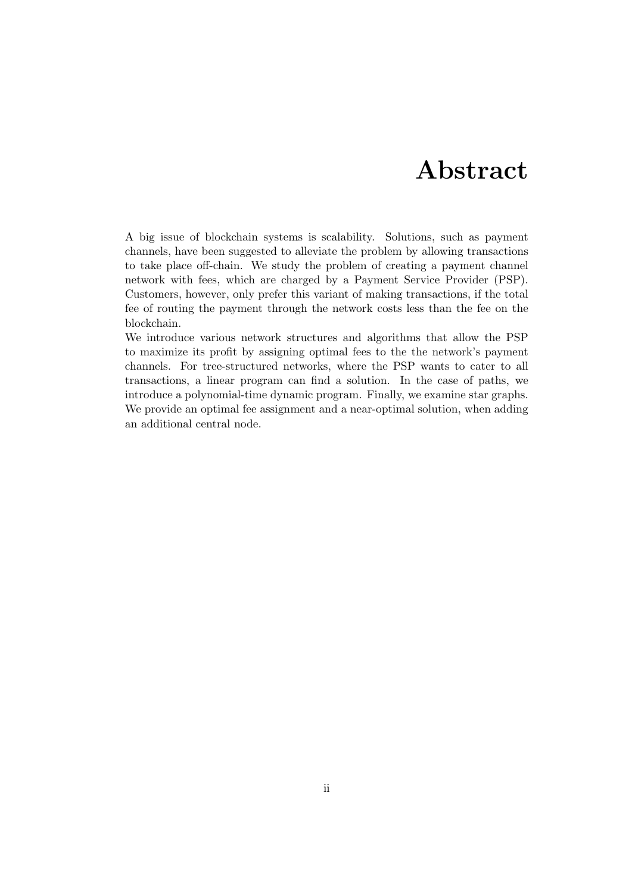## Abstract

<span id="page-2-0"></span>A big issue of blockchain systems is scalability. Solutions, such as payment channels, have been suggested to alleviate the problem by allowing transactions to take place off-chain. We study the problem of creating a payment channel network with fees, which are charged by a Payment Service Provider (PSP). Customers, however, only prefer this variant of making transactions, if the total fee of routing the payment through the network costs less than the fee on the blockchain.

We introduce various network structures and algorithms that allow the PSP to maximize its profit by assigning optimal fees to the the network's payment channels. For tree-structured networks, where the PSP wants to cater to all transactions, a linear program can find a solution. In the case of paths, we introduce a polynomial-time dynamic program. Finally, we examine star graphs. We provide an optimal fee assignment and a near-optimal solution, when adding an additional central node.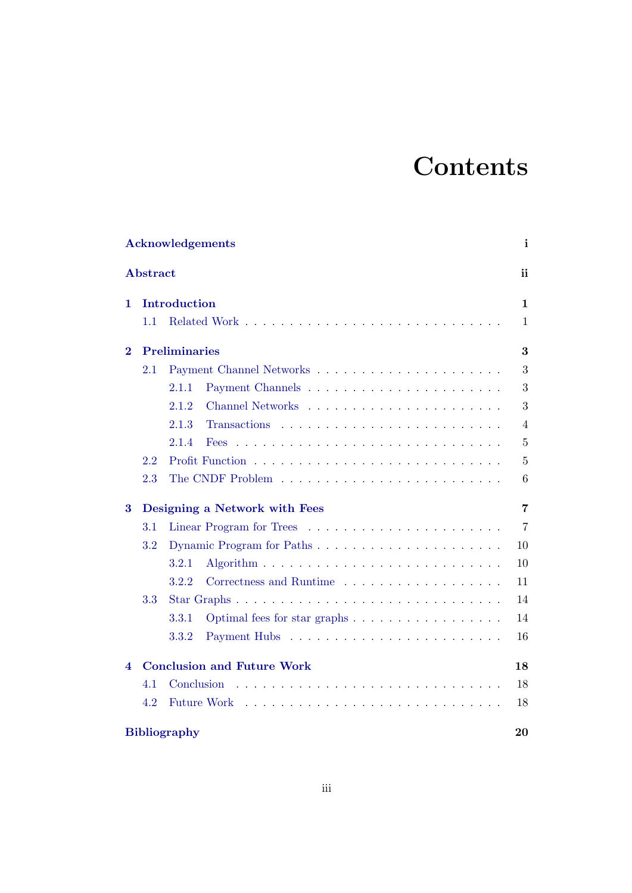# **Contents**

| <b>Acknowledgements</b><br>$\mathbf{i}$ |     |                                   |                |
|-----------------------------------------|-----|-----------------------------------|----------------|
| <b>Abstract</b>                         |     |                                   | ii             |
| 1                                       |     | Introduction                      | $\mathbf 1$    |
|                                         | 1.1 |                                   | $\mathbf 1$    |
| $\bf{2}$                                |     | <b>Preliminaries</b>              | 3              |
|                                         | 2.1 |                                   | 3              |
|                                         |     | 2.1.1                             | 3              |
|                                         |     | 2.1.2                             | 3              |
|                                         |     | 2.1.3                             | $\overline{4}$ |
|                                         |     | 2.1.4<br><b>Fees</b>              | 5              |
|                                         | 2.2 |                                   | $\overline{5}$ |
|                                         | 2.3 |                                   | 6              |
| 3                                       |     | Designing a Network with Fees     | 7              |
|                                         | 3.1 |                                   | $\overline{7}$ |
|                                         | 3.2 | Dynamic Program for Paths         | 10             |
|                                         |     | 3.2.1                             | 10             |
|                                         |     | 3.2.2                             | 11             |
|                                         | 3.3 |                                   | 14             |
|                                         |     | 3.3.1                             | 14             |
|                                         |     | 3.3.2                             | 16             |
| 4                                       |     | <b>Conclusion and Future Work</b> | 18             |
|                                         | 4.1 | Conclusion                        | 18             |
|                                         | 4.2 | <b>Future Work</b>                | 18             |
| <b>Bibliography</b>                     |     |                                   | 20             |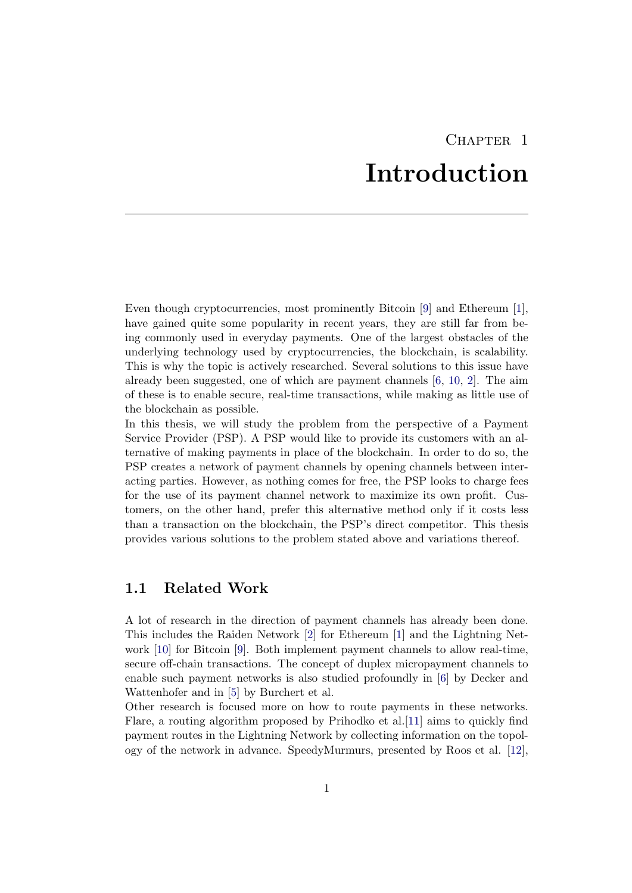# CHAPTER<sub>1</sub> Introduction

<span id="page-4-0"></span>Even though cryptocurrencies, most prominently Bitcoin [\[9\]](#page-23-3) and Ethereum [\[1\]](#page-23-4), have gained quite some popularity in recent years, they are still far from being commonly used in everyday payments. One of the largest obstacles of the underlying technology used by cryptocurrencies, the blockchain, is scalability. This is why the topic is actively researched. Several solutions to this issue have already been suggested, one of which are payment channels [\[6,](#page-23-5) [10,](#page-23-6) [2\]](#page-23-7). The aim of these is to enable secure, real-time transactions, while making as little use of the blockchain as possible.

In this thesis, we will study the problem from the perspective of a Payment Service Provider (PSP). A PSP would like to provide its customers with an alternative of making payments in place of the blockchain. In order to do so, the PSP creates a network of payment channels by opening channels between interacting parties. However, as nothing comes for free, the PSP looks to charge fees for the use of its payment channel network to maximize its own profit. Customers, on the other hand, prefer this alternative method only if it costs less than a transaction on the blockchain, the PSP's direct competitor. This thesis provides various solutions to the problem stated above and variations thereof.

### <span id="page-4-1"></span>1.1 Related Work

A lot of research in the direction of payment channels has already been done. This includes the Raiden Network [\[2\]](#page-23-7) for Ethereum [\[1\]](#page-23-4) and the Lightning Network [\[10\]](#page-23-6) for Bitcoin [\[9\]](#page-23-3). Both implement payment channels to allow real-time, secure off-chain transactions. The concept of duplex micropayment channels to enable such payment networks is also studied profoundly in [\[6\]](#page-23-5) by Decker and Wattenhofer and in [\[5\]](#page-23-8) by Burchert et al.

Other research is focused more on how to route payments in these networks. Flare, a routing algorithm proposed by Prihodko et al.[\[11\]](#page-23-9) aims to quickly find payment routes in the Lightning Network by collecting information on the topology of the network in advance. SpeedyMurmurs, presented by Roos et al. [\[12\]](#page-23-10),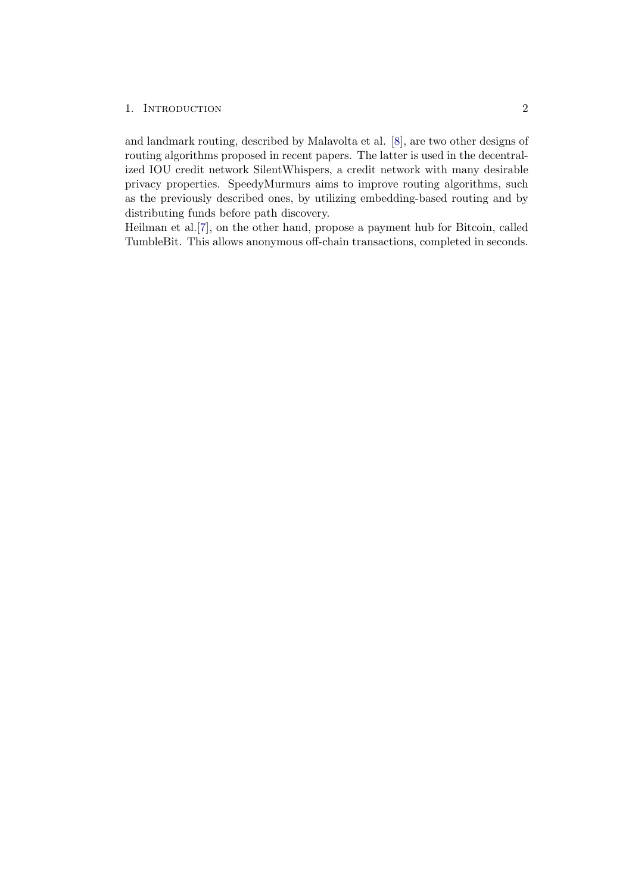#### 1. INTRODUCTION 2

and landmark routing, described by Malavolta et al. [\[8\]](#page-23-11), are two other designs of routing algorithms proposed in recent papers. The latter is used in the decentralized IOU credit network SilentWhispers, a credit network with many desirable privacy properties. SpeedyMurmurs aims to improve routing algorithms, such as the previously described ones, by utilizing embedding-based routing and by distributing funds before path discovery.

Heilman et al.[\[7\]](#page-23-12), on the other hand, propose a payment hub for Bitcoin, called TumbleBit. This allows anonymous off-chain transactions, completed in seconds.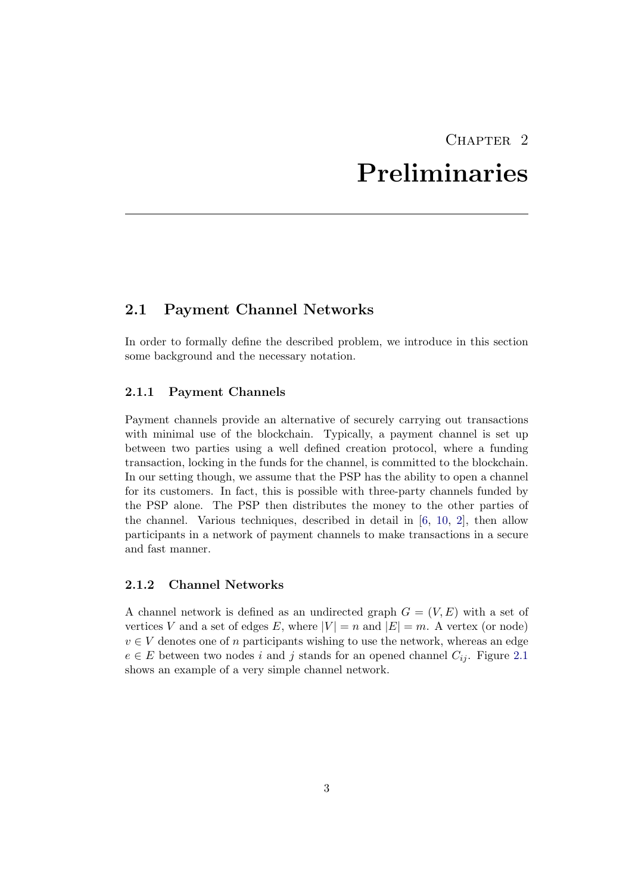## CHAPTER<sub>2</sub> Preliminaries

## <span id="page-6-1"></span><span id="page-6-0"></span>2.1 Payment Channel Networks

In order to formally define the described problem, we introduce in this section some background and the necessary notation.

#### <span id="page-6-2"></span>2.1.1 Payment Channels

Payment channels provide an alternative of securely carrying out transactions with minimal use of the blockchain. Typically, a payment channel is set up between two parties using a well defined creation protocol, where a funding transaction, locking in the funds for the channel, is committed to the blockchain. In our setting though, we assume that the PSP has the ability to open a channel for its customers. In fact, this is possible with three-party channels funded by the PSP alone. The PSP then distributes the money to the other parties of the channel. Various techniques, described in detail in [\[6,](#page-23-5) [10,](#page-23-6) [2\]](#page-23-7), then allow participants in a network of payment channels to make transactions in a secure and fast manner.

### <span id="page-6-3"></span>2.1.2 Channel Networks

A channel network is defined as an undirected graph  $G = (V, E)$  with a set of vertices V and a set of edges E, where  $|V| = n$  and  $|E| = m$ . A vertex (or node)  $v \in V$  denotes one of n participants wishing to use the network, whereas an edge  $e \in E$  between two nodes i and j stands for an opened channel  $C_{ij}$ . Figure [2.1](#page-7-1) shows an example of a very simple channel network.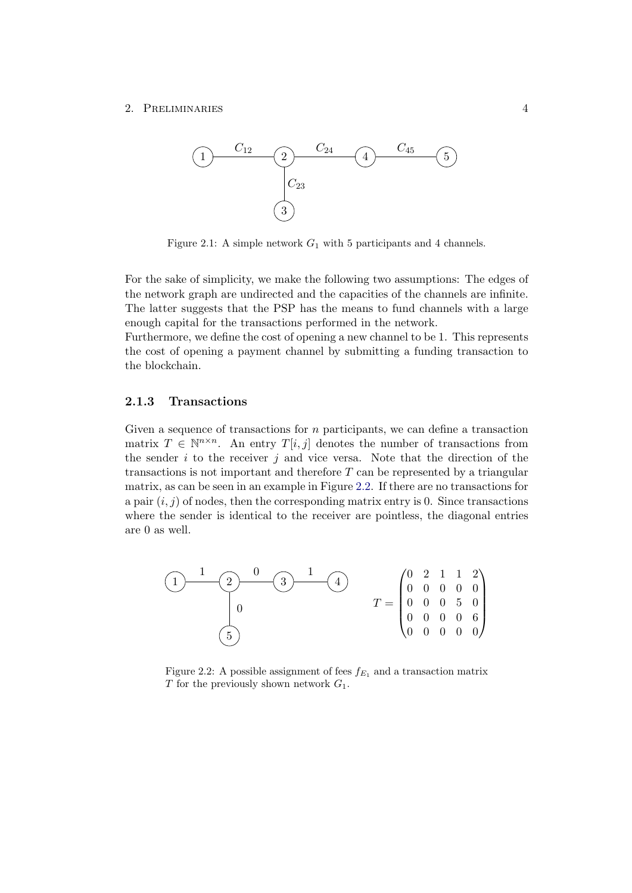#### <span id="page-7-1"></span>2. PRELIMINARIES 4



Figure 2.1: A simple network  $G_1$  with 5 participants and 4 channels.

For the sake of simplicity, we make the following two assumptions: The edges of the network graph are undirected and the capacities of the channels are infinite. The latter suggests that the PSP has the means to fund channels with a large enough capital for the transactions performed in the network.

Furthermore, we define the cost of opening a new channel to be 1. This represents the cost of opening a payment channel by submitting a funding transaction to the blockchain.

### <span id="page-7-0"></span>2.1.3 Transactions

Given a sequence of transactions for  $n$  participants, we can define a transaction matrix  $T \in \mathbb{N}^{n \times n}$ . An entry  $T[i, j]$  denotes the number of transactions from the sender  $i$  to the receiver  $j$  and vice versa. Note that the direction of the transactions is not important and therefore  $T$  can be represented by a triangular matrix, as can be seen in an example in Figure [2.2.](#page-7-2) If there are no transactions for a pair  $(i, j)$  of nodes, then the corresponding matrix entry is 0. Since transactions where the sender is identical to the receiver are pointless, the diagonal entries are 0 as well.

<span id="page-7-2"></span>

Figure 2.2: A possible assignment of fees  $f_{E_1}$  and a transaction matrix  $T$  for the previously shown network  $G_1$ .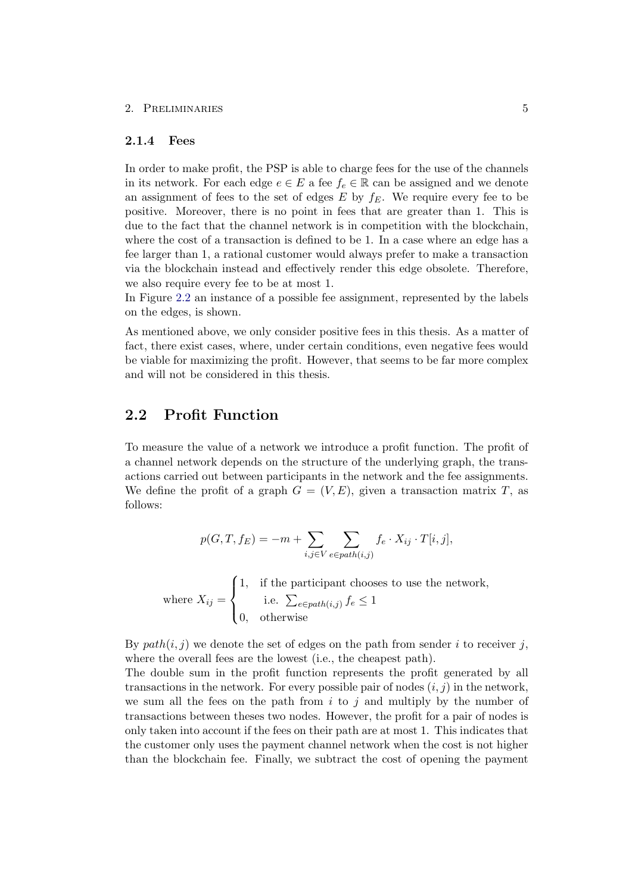#### 2. PRELIMINARIES 5

#### <span id="page-8-0"></span>2.1.4 Fees

In order to make profit, the PSP is able to charge fees for the use of the channels in its network. For each edge  $e \in E$  a fee  $f_e \in \mathbb{R}$  can be assigned and we denote an assignment of fees to the set of edges  $E$  by  $f_E$ . We require every fee to be positive. Moreover, there is no point in fees that are greater than 1. This is due to the fact that the channel network is in competition with the blockchain, where the cost of a transaction is defined to be 1. In a case where an edge has a fee larger than 1, a rational customer would always prefer to make a transaction via the blockchain instead and effectively render this edge obsolete. Therefore, we also require every fee to be at most 1.

In Figure [2.2](#page-7-2) an instance of a possible fee assignment, represented by the labels on the edges, is shown.

As mentioned above, we only consider positive fees in this thesis. As a matter of fact, there exist cases, where, under certain conditions, even negative fees would be viable for maximizing the profit. However, that seems to be far more complex and will not be considered in this thesis.

### <span id="page-8-1"></span>2.2 Profit Function

To measure the value of a network we introduce a profit function. The profit of a channel network depends on the structure of the underlying graph, the transactions carried out between participants in the network and the fee assignments. We define the profit of a graph  $G = (V, E)$ , given a transaction matrix T, as follows:

$$
p(G, T, f_E) = -m + \sum_{i,j \in V} \sum_{e \in path(i,j)} f_e \cdot X_{ij} \cdot T[i,j],
$$

where  $X_{ij} =$  $\sqrt{ }$  $\int$  $\overline{\mathcal{L}}$ 1, if the participant chooses to use the network, i.e.  $\sum_{e \in path(i,j)} f_e \leq 1$ 0, otherwise

By  $path(i, j)$  we denote the set of edges on the path from sender i to receiver j, where the overall fees are the lowest (i.e., the cheapest path).

The double sum in the profit function represents the profit generated by all transactions in the network. For every possible pair of nodes  $(i, j)$  in the network, we sum all the fees on the path from  $i$  to  $j$  and multiply by the number of transactions between theses two nodes. However, the profit for a pair of nodes is only taken into account if the fees on their path are at most 1. This indicates that the customer only uses the payment channel network when the cost is not higher than the blockchain fee. Finally, we subtract the cost of opening the payment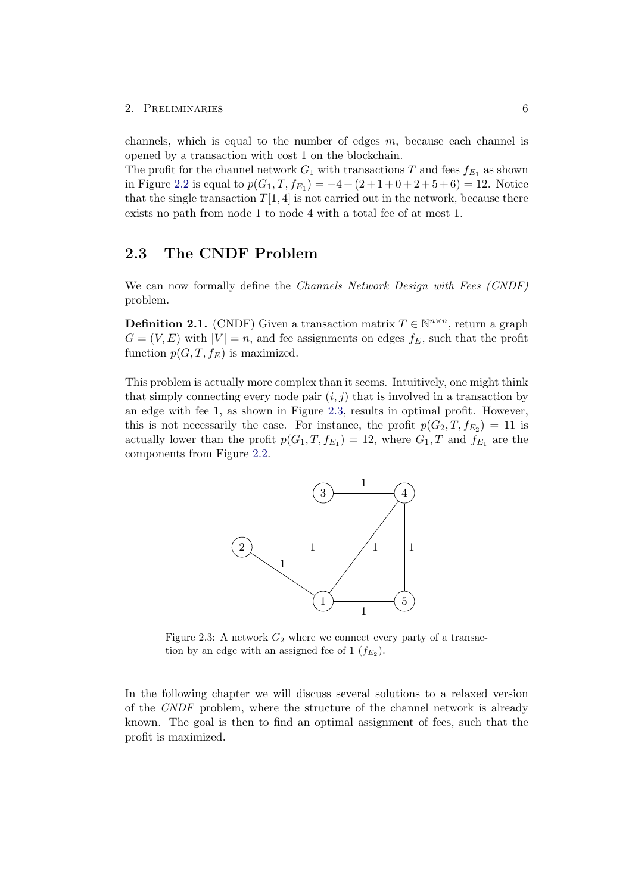#### 2. PRELIMINARIES 6

channels, which is equal to the number of edges  $m$ , because each channel is opened by a transaction with cost 1 on the blockchain.

The profit for the channel network  $G_1$  with transactions T and fees  $f_{E_1}$  as shown in Figure [2.2](#page-7-2) is equal to  $p(G_1, T, f_{E_1}) = -4 + (2 + 1 + 0 + 2 + 5 + 6) = 12$ . Notice that the single transaction  $T[1, 4]$  is not carried out in the network, because there exists no path from node 1 to node 4 with a total fee of at most 1.

## <span id="page-9-0"></span>2.3 The CNDF Problem

We can now formally define the *Channels Network Design with Fees (CNDF)* problem.

<span id="page-9-2"></span>**Definition 2.1.** (CNDF) Given a transaction matrix  $T \in \mathbb{N}^{n \times n}$ , return a graph  $G = (V, E)$  with  $|V| = n$ , and fee assignments on edges  $f_E$ , such that the profit function  $p(G, T, f_E)$  is maximized.

<span id="page-9-1"></span>This problem is actually more complex than it seems. Intuitively, one might think that simply connecting every node pair  $(i, j)$  that is involved in a transaction by an edge with fee 1, as shown in Figure [2.3,](#page-9-1) results in optimal profit. However, this is not necessarily the case. For instance, the profit  $p(G_2, T, f_{E_2}) = 11$  is actually lower than the profit  $p(G_1, T, f_{E_1}) = 12$ , where  $G_1, T$  and  $f_{E_1}$  are the components from Figure [2.2.](#page-7-2)



Figure 2.3: A network  $G_2$  where we connect every party of a transaction by an edge with an assigned fee of  $1 (f_{E_2})$ .

In the following chapter we will discuss several solutions to a relaxed version of the CNDF problem, where the structure of the channel network is already known. The goal is then to find an optimal assignment of fees, such that the profit is maximized.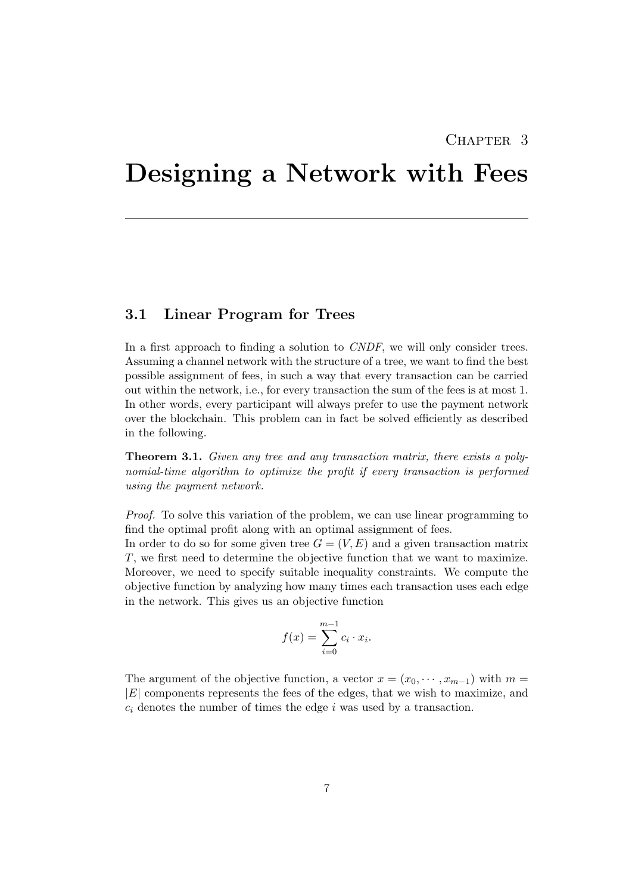## CHAPTER<sub>3</sub>

## <span id="page-10-0"></span>Designing a Network with Fees

## <span id="page-10-1"></span>3.1 Linear Program for Trees

In a first approach to finding a solution to *CNDF*, we will only consider trees. Assuming a channel network with the structure of a tree, we want to find the best possible assignment of fees, in such a way that every transaction can be carried out within the network, i.e., for every transaction the sum of the fees is at most 1. In other words, every participant will always prefer to use the payment network over the blockchain. This problem can in fact be solved efficiently as described in the following.

**Theorem 3.1.** Given any tree and any transaction matrix, there exists a polynomial-time algorithm to optimize the profit if every transaction is performed using the payment network.

Proof. To solve this variation of the problem, we can use linear programming to find the optimal profit along with an optimal assignment of fees.

In order to do so for some given tree  $G = (V, E)$  and a given transaction matrix T, we first need to determine the objective function that we want to maximize. Moreover, we need to specify suitable inequality constraints. We compute the objective function by analyzing how many times each transaction uses each edge in the network. This gives us an objective function

$$
f(x) = \sum_{i=0}^{m-1} c_i \cdot x_i.
$$

The argument of the objective function, a vector  $x = (x_0, \dots, x_{m-1})$  with  $m =$ |E| components represents the fees of the edges, that we wish to maximize, and  $c_i$  denotes the number of times the edge i was used by a transaction.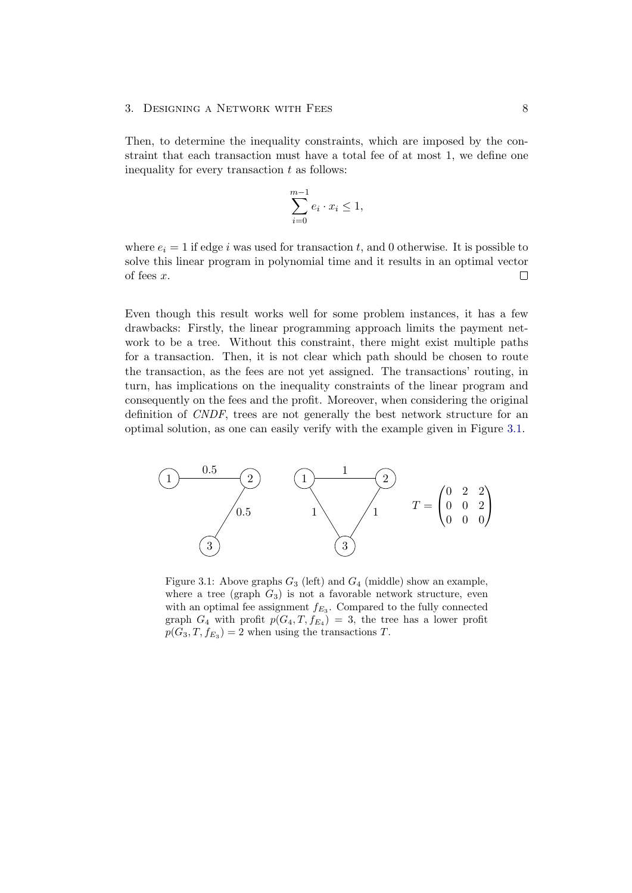Then, to determine the inequality constraints, which are imposed by the constraint that each transaction must have a total fee of at most 1, we define one inequality for every transaction  $t$  as follows:

$$
\sum_{i=0}^{m-1} e_i \cdot x_i \le 1,
$$

where  $e_i = 1$  if edge i was used for transaction t, and 0 otherwise. It is possible to solve this linear program in polynomial time and it results in an optimal vector of fees x.  $\Box$ 

Even though this result works well for some problem instances, it has a few drawbacks: Firstly, the linear programming approach limits the payment network to be a tree. Without this constraint, there might exist multiple paths for a transaction. Then, it is not clear which path should be chosen to route the transaction, as the fees are not yet assigned. The transactions' routing, in turn, has implications on the inequality constraints of the linear program and consequently on the fees and the profit. Moreover, when considering the original definition of CNDF, trees are not generally the best network structure for an optimal solution, as one can easily verify with the example given in Figure [3.1.](#page-11-0)

<span id="page-11-0"></span>

Figure 3.1: Above graphs  $G_3$  (left) and  $G_4$  (middle) show an example, where a tree (graph  $G_3$ ) is not a favorable network structure, even with an optimal fee assignment  $f_{E_3}$ . Compared to the fully connected graph  $G_4$  with profit  $p(G_4, T, f_{E_4}) = 3$ , the tree has a lower profit  $p(G_3, T, f_{E_3}) = 2$  when using the transactions T.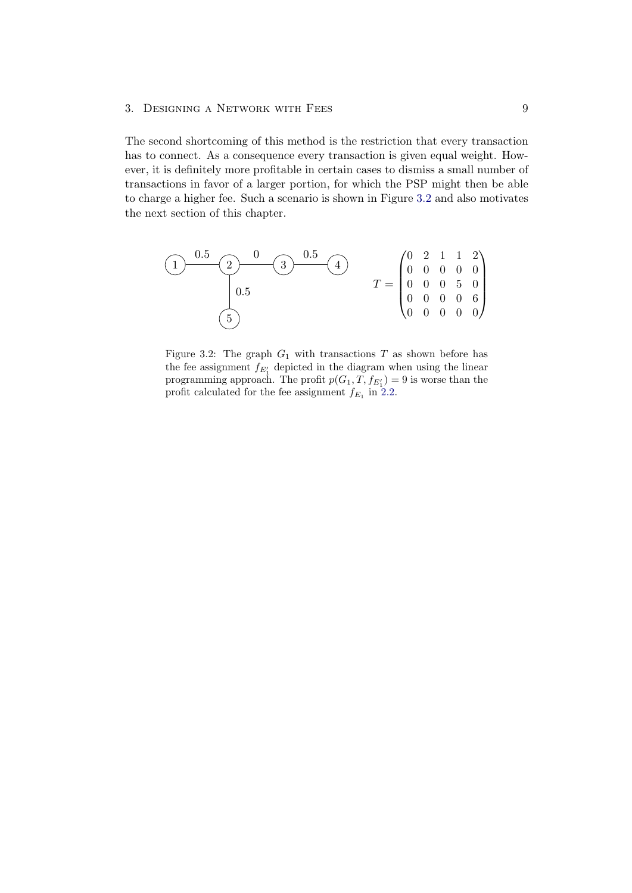The second shortcoming of this method is the restriction that every transaction has to connect. As a consequence every transaction is given equal weight. However, it is definitely more profitable in certain cases to dismiss a small number of transactions in favor of a larger portion, for which the PSP might then be able to charge a higher fee. Such a scenario is shown in Figure [3.2](#page-12-0) and also motivates the next section of this chapter.

<span id="page-12-0"></span>

Figure 3.2: The graph  $G_1$  with transactions T as shown before has the fee assignment  $f_{E'_1}$  depicted in the diagram when using the linear programming approach. The profit  $p(G_1, T, f_{E'_1}) = 9$  is worse than the profit calculated for the fee assignment  $f_{E_1}$  in [2.2.](#page-7-2)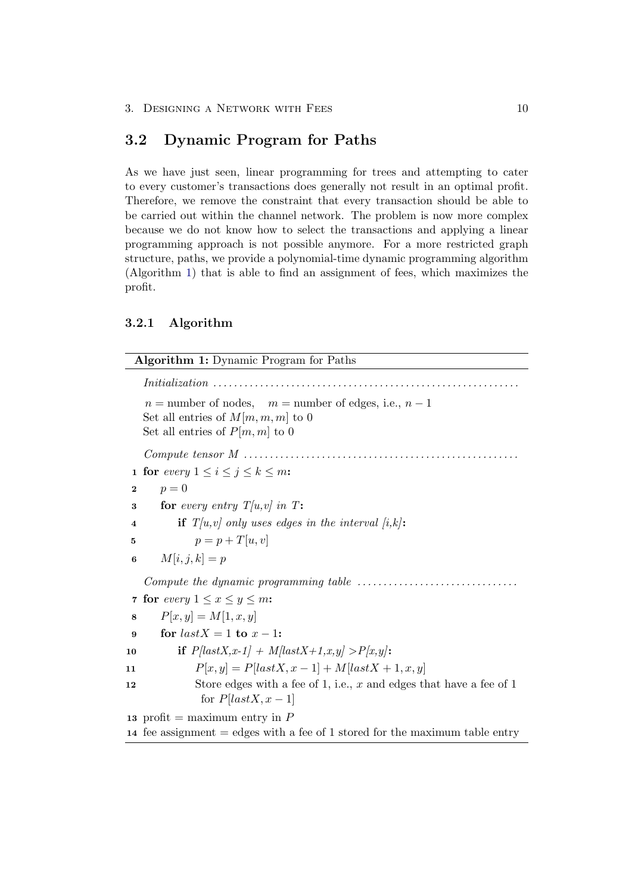## <span id="page-13-0"></span>3.2 Dynamic Program for Paths

As we have just seen, linear programming for trees and attempting to cater to every customer's transactions does generally not result in an optimal profit. Therefore, we remove the constraint that every transaction should be able to be carried out within the channel network. The problem is now more complex because we do not know how to select the transactions and applying a linear programming approach is not possible anymore. For a more restricted graph structure, paths, we provide a polynomial-time dynamic programming algorithm (Algorithm [1\)](#page-13-2) that is able to find an assignment of fees, which maximizes the profit.

### <span id="page-13-1"></span>3.2.1 Algorithm

<span id="page-13-7"></span><span id="page-13-6"></span><span id="page-13-5"></span><span id="page-13-4"></span><span id="page-13-3"></span><span id="page-13-2"></span>Algorithm 1: Dynamic Program for Paths Initialization . . . . . . . . . . . . . . . . . . . . . . . . . . . . . . . . . . . . . . . . . . . . . . . . . . . . . . . . . . .  $n =$  number of nodes,  $m =$  number of edges, i.e.,  $n - 1$ Set all entries of  $M[m, m, m]$  to 0 Set all entries of  $P[m, m]$  to 0 Compute tensor M . . . . . . . . . . . . . . . . . . . . . . . . . . . . . . . . . . . . . . . . . . . . . . . . . . . . . 1 for every  $1 \leq i \leq j \leq k \leq m$ : 2  $p = 0$ 3 for every entry  $T[u,v]$  in T: 4 if  $T[u,v]$  only uses edges in the interval  $[i,k]$ : 5  $p = p + T[u, v]$ 6  $M[i, j, k] = p$ Compute the dynamic programming table . . . . . . . . . . . . . . . . . . . . . . . . . . . . . . . 7 for every  $1 \leq x \leq y \leq m$ : 8  $P[x, y] = M[1, x, y]$ 9 for  $lastX = 1$  to  $x - 1$ : 10 if  $P,[lastX, x-1] + M|lastX+1, x, y] > P[x, y]$ : 11  $P[x, y] = P[lastX, x - 1] + M[lastX + 1, x, y]$ 12 Store edges with a fee of 1, i.e., x and edges that have a fee of 1 for  $P[lastX, x-1]$ 13 profit = maximum entry in  $P$ 14 fee assignment = edges with a fee of 1 stored for the maximum table entry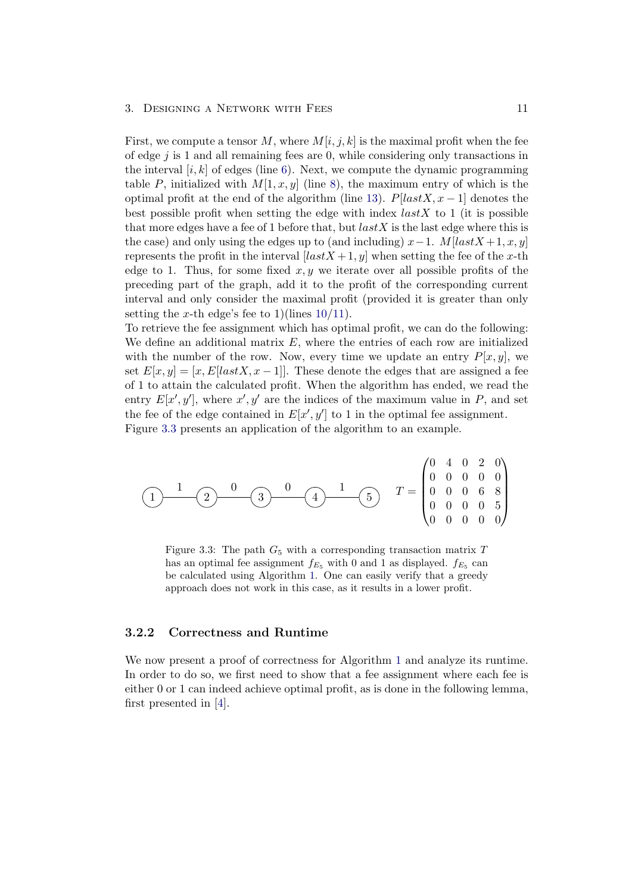First, we compute a tensor M, where  $M[i, j, k]$  is the maximal profit when the fee of edge  $j$  is 1 and all remaining fees are 0, while considering only transactions in the interval  $[i, k]$  of edges (line [6\)](#page-13-3). Next, we compute the dynamic programming table P, initialized with  $M[1, x, y]$  (line [8\)](#page-13-4), the maximum entry of which is the optimal profit at the end of the algorithm (line [13\)](#page-13-5).  $P[lastX, x-1]$  denotes the best possible profit when setting the edge with index  $lastX$  to 1 (it is possible that more edges have a fee of 1 before that, but  $lastX$  is the last edge where this is the case) and only using the edges up to (and including)  $x-1$ . M[lastX +1, x, y] represents the profit in the interval  $[lastX + 1, y]$  when setting the fee of the x-th edge to 1. Thus, for some fixed  $x, y$  we iterate over all possible profits of the preceding part of the graph, add it to the profit of the corresponding current interval and only consider the maximal profit (provided it is greater than only setting the x-th edge's fee to 1)(lines  $10/11$  $10/11$ ).

To retrieve the fee assignment which has optimal profit, we can do the following: We define an additional matrix  $E$ , where the entries of each row are initialized with the number of the row. Now, every time we update an entry  $P[x, y]$ , we set  $E[x, y] = [x, E| lastX, x - 1]$ . These denote the edges that are assigned a fee of 1 to attain the calculated profit. When the algorithm has ended, we read the entry  $E[x', y']$ , where  $x', y'$  are the indices of the maximum value in P, and set the fee of the edge contained in  $E[x', y']$  to 1 in the optimal fee assignment. Figure [3.3](#page-14-1) presents an application of the algorithm to an example.

<span id="page-14-1"></span>
$$
\begin{array}{c}\n1 \\
\hline\n1 \\
\hline\n2 \\
\hline\n\end{array}\n\quad\n\begin{array}{c}\n0 \\
\hline\n3 \\
\hline\n\end{array}\n\quad\n\begin{array}{c}\n0 \\
\hline\n\end{array}\n\quad\n\begin{array}{c}\n1 \\
\hline\n\end{array}\n\quad\n\begin{array}{c}\n1 \\
\hline\n\end{array}\n\quad\n\begin{array}{c}\nT = \begin{pmatrix}\n0 & 4 & 0 & 2 & 0 \\
0 & 0 & 0 & 0 & 0 \\
0 & 0 & 0 & 6 & 8 \\
0 & 0 & 0 & 0 & 5 \\
0 & 0 & 0 & 0 & 0\n\end{pmatrix}\n\end{array}
$$

Figure 3.3: The path  $G_5$  with a corresponding transaction matrix  $T$ has an optimal fee assignment  $f_{E_5}$  with 0 and 1 as displayed.  $f_{E_5}$  can be calculated using Algorithm [1.](#page-13-2) One can easily verify that a greedy approach does not work in this case, as it results in a lower profit.

#### <span id="page-14-0"></span>3.2.2 Correctness and Runtime

We now present a proof of correctness for Algorithm [1](#page-13-2) and analyze its runtime. In order to do so, we first need to show that a fee assignment where each fee is either 0 or 1 can indeed achieve optimal profit, as is done in the following lemma, first presented in [\[4\]](#page-23-1).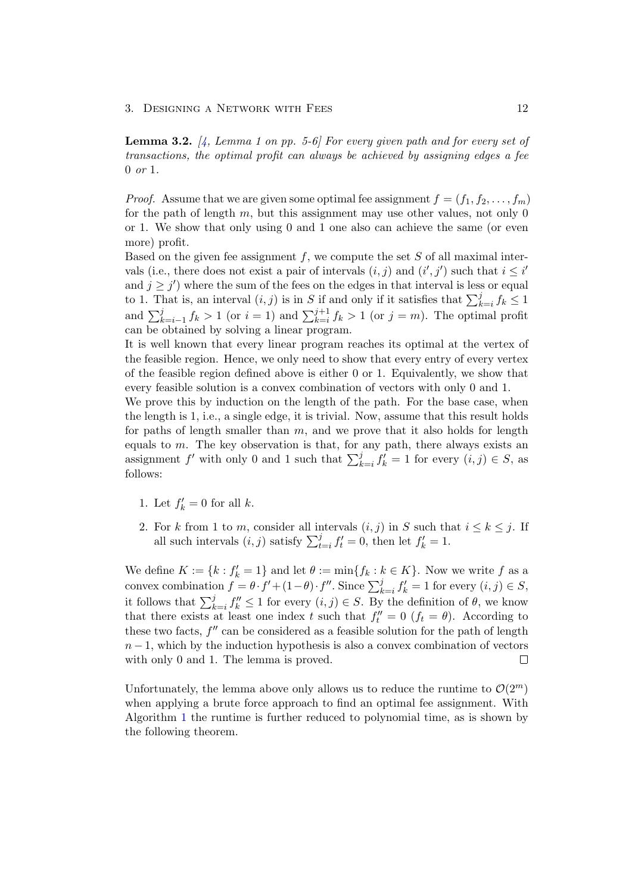<span id="page-15-0"></span>**Lemma 3.2.**  $\mu$ , Lemma 1 on pp. 5-6] For every given path and for every set of transactions, the optimal profit can always be achieved by assigning edges a fee 0 or 1.

*Proof.* Assume that we are given some optimal fee assignment  $f = (f_1, f_2, \ldots, f_m)$ for the path of length  $m$ , but this assignment may use other values, not only 0 or 1. We show that only using 0 and 1 one also can achieve the same (or even more) profit.

Based on the given fee assignment  $f$ , we compute the set  $S$  of all maximal intervals (i.e., there does not exist a pair of intervals  $(i, j)$  and  $(i', j')$  such that  $i \leq i'$ and  $j \geq j'$ ) where the sum of the fees on the edges in that interval is less or equal to 1. That is, an interval  $(i, j)$  is in S if and only if it satisfies that  $\sum_{k=i}^{j} f_k \leq 1$ and  $\sum_{k=i-1}^{j} f_k > 1$  (or  $i = 1$ ) and  $\sum_{k=i}^{j+1} f_k > 1$  (or  $j = m$ ). The optimal profit can be obtained by solving a linear program.

It is well known that every linear program reaches its optimal at the vertex of the feasible region. Hence, we only need to show that every entry of every vertex of the feasible region defined above is either 0 or 1. Equivalently, we show that every feasible solution is a convex combination of vectors with only 0 and 1.

We prove this by induction on the length of the path. For the base case, when the length is 1, i.e., a single edge, it is trivial. Now, assume that this result holds for paths of length smaller than  $m$ , and we prove that it also holds for length equals to  $m$ . The key observation is that, for any path, there always exists an assignment f' with only 0 and 1 such that  $\sum_{k=i}^{j} f'_k = 1$  for every  $(i, j) \in S$ , as follows:

- 1. Let  $f'_k = 0$  for all  $k$ .
- 2. For k from 1 to m, consider all intervals  $(i, j)$  in S such that  $i \leq k \leq j$ . If all such intervals  $(i, j)$  satisfy  $\sum_{t=i}^{j} f'_t = 0$ , then let  $f'_k = 1$ .

We define  $K := \{k : f'_k = 1\}$  and let  $\theta := \min\{f_k : k \in K\}$ . Now we write f as a convex combination  $f = \theta \cdot f' + (1 - \theta) \cdot f''$ . Since  $\sum_{k=i}^{j} f'_k = 1$  for every  $(i, j) \in S$ , it follows that  $\sum_{k=i}^{j} f_k'' \leq 1$  for every  $(i, j) \in S$ . By the definition of  $\theta$ , we know that there exists at least one index t such that  $f''_t = 0$  ( $f_t = \theta$ ). According to these two facts,  $f''$  can be considered as a feasible solution for the path of length  $n-1$ , which by the induction hypothesis is also a convex combination of vectors with only 0 and 1. The lemma is proved.  $\Box$ 

Unfortunately, the lemma above only allows us to reduce the runtime to  $\mathcal{O}(2^m)$ when applying a brute force approach to find an optimal fee assignment. With Algorithm [1](#page-13-2) the runtime is further reduced to polynomial time, as is shown by the following theorem.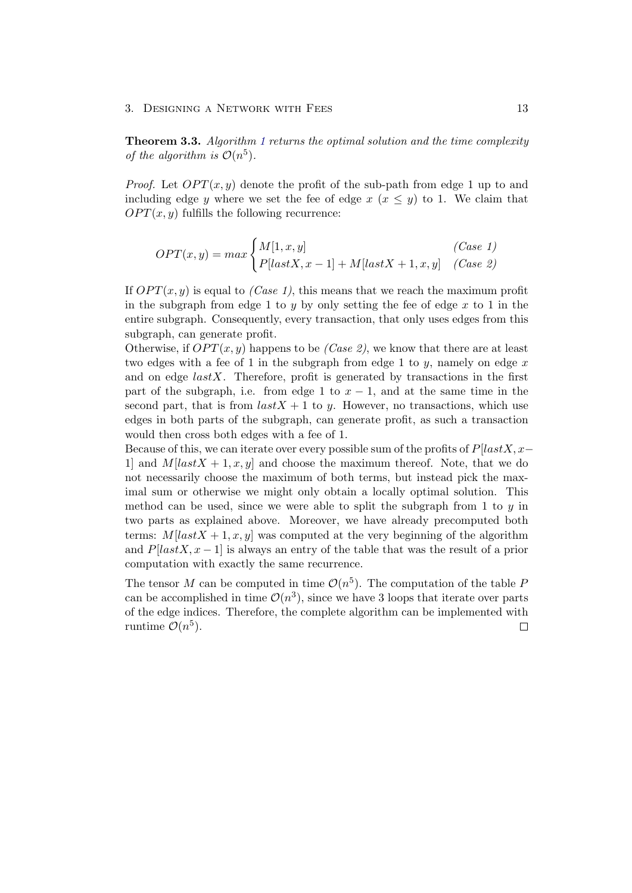Theorem 3.3. Algorithm [1](#page-13-2) returns the optimal solution and the time complexity of the algorithm is  $\mathcal{O}(n^5)$ .

*Proof.* Let  $OPT(x, y)$  denote the profit of the sub-path from edge 1 up to and including edge y where we set the fee of edge  $x (x \leq y)$  to 1. We claim that  $OPT(x, y)$  fulfills the following recurrence:

$$
OPT(x,y) = max \begin{cases} M[1,x,y] & (Case 1) \\ P[lastX, x-1] + M[lastX + 1, x, y] & (Case 2) \end{cases}
$$

If  $OPT(x, y)$  is equal to *(Case 1)*, this means that we reach the maximum profit in the subgraph from edge 1 to y by only setting the fee of edge  $x$  to 1 in the entire subgraph. Consequently, every transaction, that only uses edges from this subgraph, can generate profit.

Otherwise, if  $OPT(x, y)$  happens to be (Case 2), we know that there are at least two edges with a fee of 1 in the subgraph from edge 1 to  $y$ , namely on edge  $x$ and on edge  $lastX$ . Therefore, profit is generated by transactions in the first part of the subgraph, i.e. from edge 1 to  $x - 1$ , and at the same time in the second part, that is from  $lastX + 1$  to y. However, no transactions, which use edges in both parts of the subgraph, can generate profit, as such a transaction would then cross both edges with a fee of 1.

Because of this, we can iterate over every possible sum of the profits of  $P[lastX, x-\]$ 1 and  $M[lastX + 1, x, y]$  and choose the maximum thereof. Note, that we do not necessarily choose the maximum of both terms, but instead pick the maximal sum or otherwise we might only obtain a locally optimal solution. This method can be used, since we were able to split the subgraph from 1 to  $y$  in two parts as explained above. Moreover, we have already precomputed both terms:  $M[lastX + 1, x, y]$  was computed at the very beginning of the algorithm and  $P[lastX, x - 1]$  is always an entry of the table that was the result of a prior computation with exactly the same recurrence.

The tensor M can be computed in time  $\mathcal{O}(n^5)$ . The computation of the table F can be accomplished in time  $\mathcal{O}(n^3)$ , since we have 3 loops that iterate over parts of the edge indices. Therefore, the complete algorithm can be implemented with runtime  $\mathcal{O}(n^5)$ .  $\Box$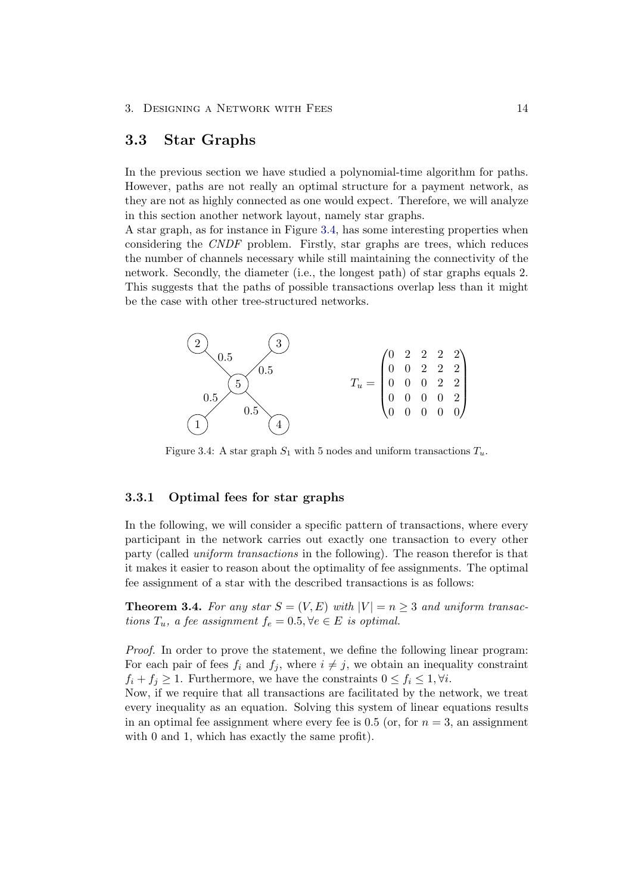## <span id="page-17-0"></span>3.3 Star Graphs

In the previous section we have studied a polynomial-time algorithm for paths. However, paths are not really an optimal structure for a payment network, as they are not as highly connected as one would expect. Therefore, we will analyze in this section another network layout, namely star graphs.

A star graph, as for instance in Figure [3.4,](#page-17-2) has some interesting properties when considering the CNDF problem. Firstly, star graphs are trees, which reduces the number of channels necessary while still maintaining the connectivity of the network. Secondly, the diameter (i.e., the longest path) of star graphs equals 2. This suggests that the paths of possible transactions overlap less than it might be the case with other tree-structured networks.

<span id="page-17-2"></span>

Figure 3.4: A star graph  $S_1$  with 5 nodes and uniform transactions  $T_u$ .

### <span id="page-17-1"></span>3.3.1 Optimal fees for star graphs

In the following, we will consider a specific pattern of transactions, where every participant in the network carries out exactly one transaction to every other party (called uniform transactions in the following). The reason therefor is that it makes it easier to reason about the optimality of fee assignments. The optimal fee assignment of a star with the described transactions is as follows:

**Theorem 3.4.** For any star  $S = (V, E)$  with  $|V| = n \geq 3$  and uniform transactions  $T_u$ , a fee assignment  $f_e = 0.5$ ,  $\forall e \in E$  is optimal.

Proof. In order to prove the statement, we define the following linear program: For each pair of fees  $f_i$  and  $f_j$ , where  $i \neq j$ , we obtain an inequality constraint  $f_i + f_j \geq 1$ . Furthermore, we have the constraints  $0 \leq f_i \leq 1, \forall i$ .

Now, if we require that all transactions are facilitated by the network, we treat every inequality as an equation. Solving this system of linear equations results in an optimal fee assignment where every fee is 0.5 (or, for  $n = 3$ , an assignment with 0 and 1, which has exactly the same profit).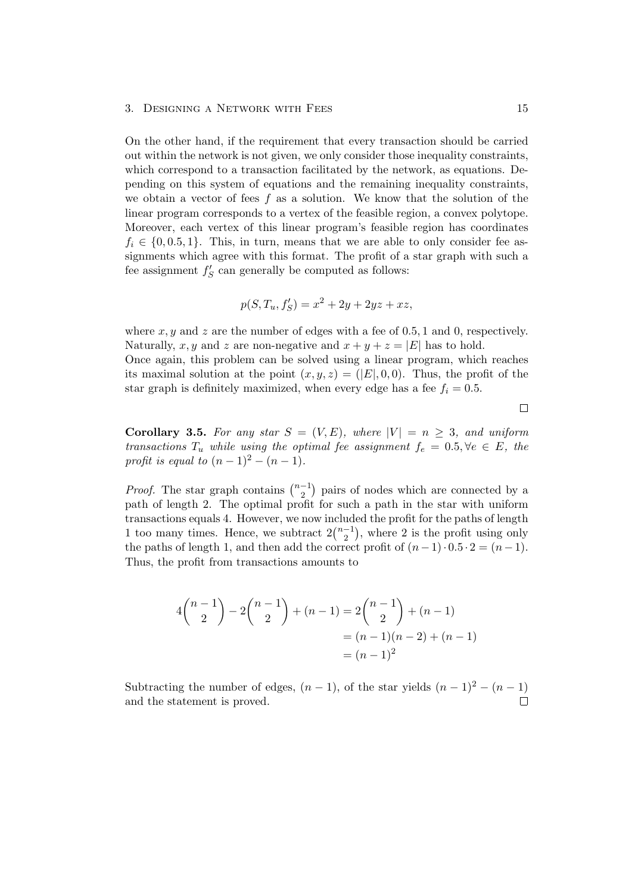On the other hand, if the requirement that every transaction should be carried out within the network is not given, we only consider those inequality constraints, which correspond to a transaction facilitated by the network, as equations. Depending on this system of equations and the remaining inequality constraints, we obtain a vector of fees f as a solution. We know that the solution of the linear program corresponds to a vertex of the feasible region, a convex polytope. Moreover, each vertex of this linear program's feasible region has coordinates  $f_i \in \{0, 0.5, 1\}$ . This, in turn, means that we are able to only consider fee assignments which agree with this format. The profit of a star graph with such a fee assignment  $f'_{S}$  can generally be computed as follows:

$$
p(S, T_u, f'_S) = x^2 + 2y + 2yz + xz,
$$

where  $x, y$  and  $z$  are the number of edges with a fee of 0.5, 1 and 0, respectively. Naturally, x, y and z are non-negative and  $x + y + z = |E|$  has to hold.

Once again, this problem can be solved using a linear program, which reaches its maximal solution at the point  $(x, y, z) = (E, 0, 0)$ . Thus, the profit of the star graph is definitely maximized, when every edge has a fee  $f_i = 0.5$ .

 $\Box$ 

Corollary 3.5. For any star  $S = (V, E)$ , where  $|V| = n \geq 3$ , and uniform transactions  $T_u$  while using the optimal fee assignment  $f_e = 0.5, \forall e \in E$ , the profit is equal to  $(n-1)^2 - (n-1)$ .

*Proof.* The star graph contains  $\binom{n-1}{2}$  $\binom{-1}{2}$  pairs of nodes which are connected by a path of length 2. The optimal profit for such a path in the star with uniform transactions equals 4. However, we now included the profit for the paths of length 1 too many times. Hence, we subtract  $2\binom{n-1}{2}$  $\binom{-1}{2}$ , where 2 is the profit using only the paths of length 1, and then add the correct profit of  $(n-1)\cdot 0.5\cdot 2 = (n-1)$ . Thus, the profit from transactions amounts to

$$
4{n-1 \choose 2} - 2{n-1 \choose 2} + (n-1) = 2{n-1 \choose 2} + (n-1)
$$
  
=  $(n-1)(n-2) + (n-1)$   
=  $(n-1)^2$ 

Subtracting the number of edges,  $(n - 1)$ , of the star yields  $(n - 1)^2 - (n - 1)$ and the statement is proved.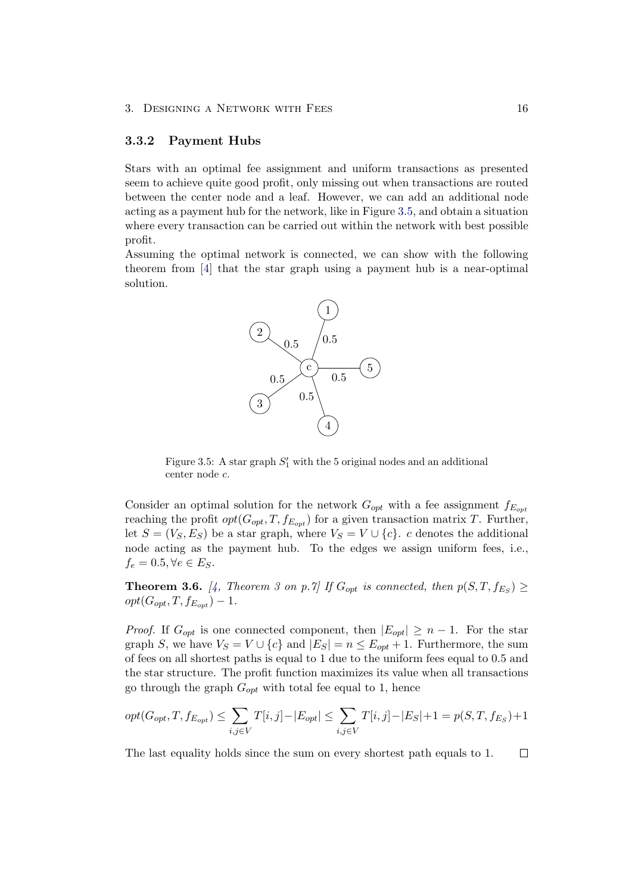#### <span id="page-19-0"></span>3.3.2 Payment Hubs

Stars with an optimal fee assignment and uniform transactions as presented seem to achieve quite good profit, only missing out when transactions are routed between the center node and a leaf. However, we can add an additional node acting as a payment hub for the network, like in Figure [3.5,](#page-19-1) and obtain a situation where every transaction can be carried out within the network with best possible profit.

<span id="page-19-1"></span>Assuming the optimal network is connected, we can show with the following theorem from [\[4\]](#page-23-1) that the star graph using a payment hub is a near-optimal solution.



Figure 3.5: A star graph  $S'_1$  with the 5 original nodes and an additional center node c.

Consider an optimal solution for the network  $G_{opt}$  with a fee assignment  $f_{E_{opt}}$ reaching the profit  $opt(G_{opt}, T, f_{E_{opt}})$  for a given transaction matrix T. Further, let  $S = (V_S, E_S)$  be a star graph, where  $V_S = V \cup \{c\}$ . c denotes the additional node acting as the payment hub. To the edges we assign uniform fees, i.e.,  $f_e = 0.5, \forall e \in E_S.$ 

**Theorem 3.6.** [\[4,](#page-23-1) Theorem 3 on p.7] If  $G_{opt}$  is connected, then  $p(S,T, f_{ES}) \ge$  $opt(G_{opt}, T, f_{E_{opt}}) - 1.$ 

*Proof.* If  $G_{opt}$  is one connected component, then  $|E_{opt}| \ge n - 1$ . For the star graph S, we have  $V_S = V \cup \{c\}$  and  $|E_S| = n \le E_{\text{out}} + 1$ . Furthermore, the sum of fees on all shortest paths is equal to 1 due to the uniform fees equal to 0.5 and the star structure. The profit function maximizes its value when all transactions go through the graph  $G_{opt}$  with total fee equal to 1, hence

$$
opt(G_{opt}, T, f_{E_{opt}}) \le \sum_{i,j \in V} T[i,j] - |E_{opt}| \le \sum_{i,j \in V} T[i,j] - |E_S| + 1 = p(S, T, f_{E_S}) + 1
$$

The last equality holds since the sum on every shortest path equals to 1. $\Box$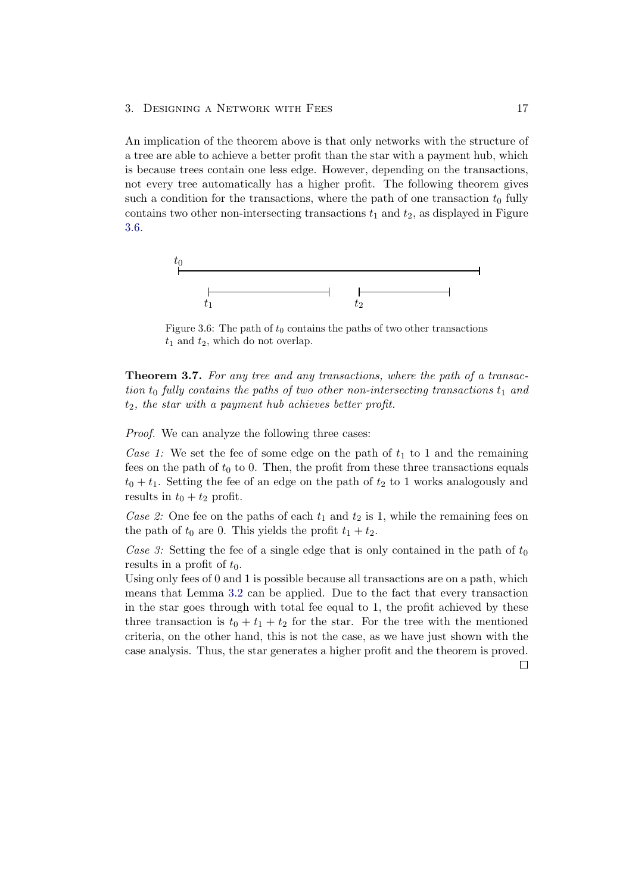An implication of the theorem above is that only networks with the structure of a tree are able to achieve a better profit than the star with a payment hub, which is because trees contain one less edge. However, depending on the transactions, not every tree automatically has a higher profit. The following theorem gives such a condition for the transactions, where the path of one transaction  $t_0$  fully contains two other non-intersecting transactions  $t_1$  and  $t_2$ , as displayed in Figure [3.6.](#page-20-0)

<span id="page-20-0"></span>

Figure 3.6: The path of  $t_0$  contains the paths of two other transactions  $t_1$  and  $t_2$ , which do not overlap.

Theorem 3.7. For any tree and any transactions, where the path of a transaction  $t_0$  fully contains the paths of two other non-intersecting transactions  $t_1$  and  $t_2$ , the star with a payment hub achieves better profit.

Proof. We can analyze the following three cases:

Case 1: We set the fee of some edge on the path of  $t_1$  to 1 and the remaining fees on the path of  $t_0$  to 0. Then, the profit from these three transactions equals  $t_0 + t_1$ . Setting the fee of an edge on the path of  $t_2$  to 1 works analogously and results in  $t_0 + t_2$  profit.

Case 2: One fee on the paths of each  $t_1$  and  $t_2$  is 1, while the remaining fees on the path of  $t_0$  are 0. This yields the profit  $t_1 + t_2$ .

Case 3: Setting the fee of a single edge that is only contained in the path of  $t_0$ results in a profit of  $t_0$ .

Using only fees of 0 and 1 is possible because all transactions are on a path, which means that Lemma [3.2](#page-15-0) can be applied. Due to the fact that every transaction in the star goes through with total fee equal to 1, the profit achieved by these three transaction is  $t_0 + t_1 + t_2$  for the star. For the tree with the mentioned criteria, on the other hand, this is not the case, as we have just shown with the case analysis. Thus, the star generates a higher profit and the theorem is proved.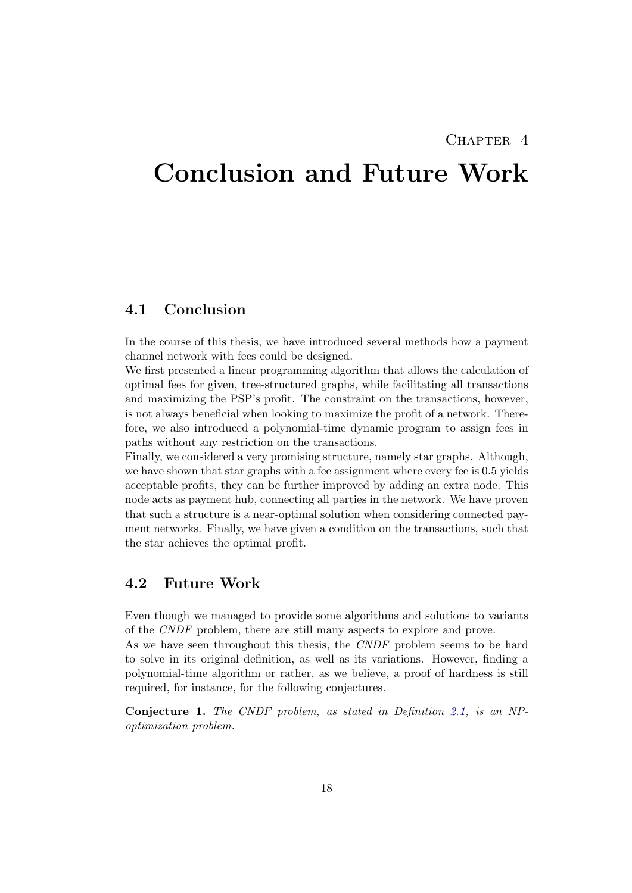## CHAPTER<sub>4</sub>

# <span id="page-21-0"></span>Conclusion and Future Work

## <span id="page-21-1"></span>4.1 Conclusion

In the course of this thesis, we have introduced several methods how a payment channel network with fees could be designed.

We first presented a linear programming algorithm that allows the calculation of optimal fees for given, tree-structured graphs, while facilitating all transactions and maximizing the PSP's profit. The constraint on the transactions, however, is not always beneficial when looking to maximize the profit of a network. Therefore, we also introduced a polynomial-time dynamic program to assign fees in paths without any restriction on the transactions.

Finally, we considered a very promising structure, namely star graphs. Although, we have shown that star graphs with a fee assignment where every fee is 0.5 yields acceptable profits, they can be further improved by adding an extra node. This node acts as payment hub, connecting all parties in the network. We have proven that such a structure is a near-optimal solution when considering connected payment networks. Finally, we have given a condition on the transactions, such that the star achieves the optimal profit.

## <span id="page-21-2"></span>4.2 Future Work

Even though we managed to provide some algorithms and solutions to variants of the CNDF problem, there are still many aspects to explore and prove. As we have seen throughout this thesis, the CNDF problem seems to be hard to solve in its original definition, as well as its variations. However, finding a

polynomial-time algorithm or rather, as we believe, a proof of hardness is still required, for instance, for the following conjectures.

Conjecture 1. The CNDF problem, as stated in Definition [2.1,](#page-9-2) is an NPoptimization problem.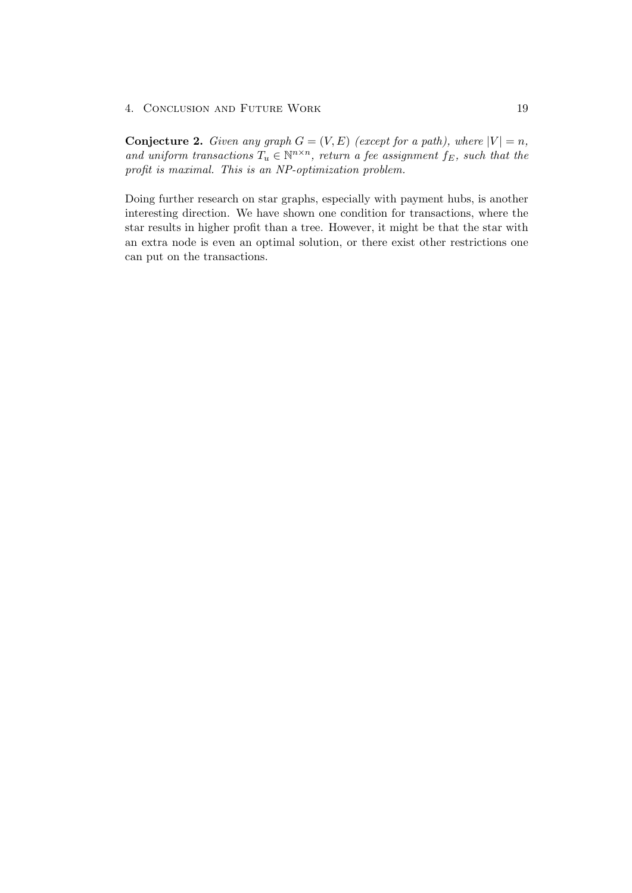#### 4. CONCLUSION AND FUTURE WORK 19

**Conjecture 2.** Given any graph  $G = (V, E)$  (except for a path), where  $|V| = n$ , and uniform transactions  $T_u \in \mathbb{N}^{n \times n}$ , return a fee assignment  $f_E$ , such that the profit is maximal. This is an NP-optimization problem.

Doing further research on star graphs, especially with payment hubs, is another interesting direction. We have shown one condition for transactions, where the star results in higher profit than a tree. However, it might be that the star with an extra node is even an optimal solution, or there exist other restrictions one can put on the transactions.